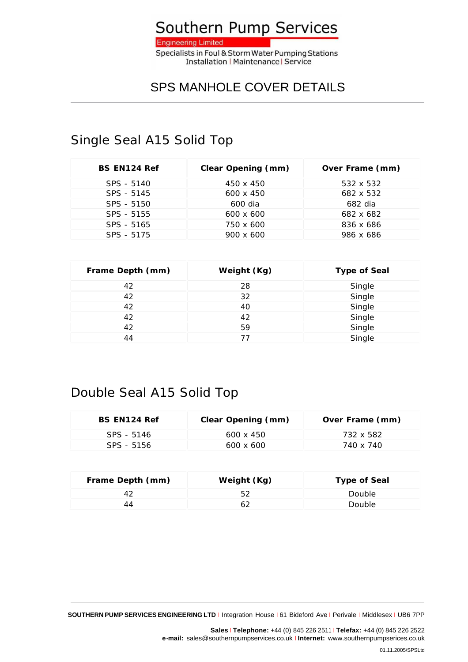

## SPS MANHOLE COVER DETAILS

#### Single Seal A15 Solid Top

| BS EN124 Ref | Clear Opening (mm) | Over Frame (mm) |
|--------------|--------------------|-----------------|
| SPS - 5140   | 450 x 450          | 532 x 532       |
| SPS - 5145   | $600 \times 450$   | 682 x 532       |
| SPS - 5150   | 600 dia            | 682 dia         |
| SPS - 5155   | $600 \times 600$   | 682 x 682       |
| SPS - 5165   | 750 x 600          | 836 x 686       |
| SPS - 5175   | $900 \times 600$   | 986 x 686       |

| Frame Depth (mm) | Weight (Kg) | Type of Seal |
|------------------|-------------|--------------|
| 42               | 28          | Single       |
| 42               | 32          | Single       |
| 42               | 40          | Single       |
| 42               | 42          | Single       |
| 42               | 59          | Single       |
| 44               |             | Single       |

## Double Seal A15 Solid Top

| BS FN124 Ref | Clear Opening (mm) | Over Frame (mm) |
|--------------|--------------------|-----------------|
| SPS - 5146   | $600 \times 450$   | 732 x 582       |
| SPS - 5156   | $600 \times 600$   | 740 x 740       |

| Frame Depth (mm) | Weight (Kg) | Type of Seal |
|------------------|-------------|--------------|
|                  |             | Double       |
| 44               |             | Double       |

**SOUTHERN PUMP SERVICES ENGINEERING LTD** <sup>I</sup> Integration House <sup>I</sup> 61 Bideford Ave <sup>I</sup> Perivale <sup>I</sup> Middlesex <sup>I</sup> UB6 7PP

**Sales** <sup>I</sup> **Telephone:** +44 (0) 845 226 2511 <sup>I</sup> **Telefax:** +44 (0) 845 226 2522 **e-mail:** sales@southernpumpservices.co.uk <sup>I</sup> **Internet:** www.southernpumpserices.co.uk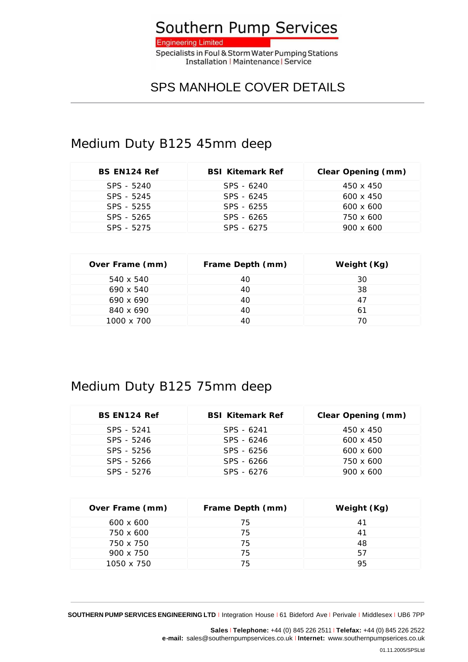

#### SPS MANHOLE COVER DETAILS

### Medium Duty B125 45mm deep

| BS EN124 Ref | <b>BSI Kitemark Ref</b> | Clear Opening (mm) |
|--------------|-------------------------|--------------------|
| SPS - 5240   | SPS - 6240              | 450 x 450          |
| SPS - 5245   | SPS - 6245              | 600 x 450          |
| SPS - 5255   | SPS - 6255              | $600 \times 600$   |
| SPS - 5265   | SPS - 6265              | 750 x 600          |
| SPS - 5275   | SPS - 6275              | $900 \times 600$   |

| Over Frame (mm) | Frame Depth (mm) | Weight (Kg) |
|-----------------|------------------|-------------|
| 540 x 540       | 40               | 30          |
| 690 x 540       | 40               | 38          |
| 690 x 690       | 40               | 47          |
| 840 x 690       | 40               | 61          |
| 1000 x 700      |                  | 70          |

## Medium Duty B125 75mm deep

| BS EN124 Ref | <b>BSI Kitemark Ref</b> | Clear Opening (mm) |
|--------------|-------------------------|--------------------|
| SPS - 5241   | SPS - 6241              | 450 x 450          |
| SPS - 5246   | SPS - 6246              | $600 \times 450$   |
| SPS - 5256   | SPS - 6256              | $600 \times 600$   |
| SPS - 5266   | SPS - 6266              | 750 x 600          |
| SPS - 5276   | SPS - 6276              | $900 \times 600$   |

| Over Frame (mm)  | Frame Depth (mm) | Weight (Kg) |
|------------------|------------------|-------------|
| $600 \times 600$ | 75               | 41          |
| 750 x 600        | 75               | 41          |
| 750 x 750        | 75               | 48          |
| $900 \times 750$ | 75               | 57          |
| 1050 x 750       | 75               | 95          |

**Sales** <sup>I</sup> **Telephone:** +44 (0) 845 226 2511 <sup>I</sup> **Telefax:** +44 (0) 845 226 2522 **e-mail:** sales@southernpumpservices.co.uk <sup>I</sup> **Internet:** www.southernpumpserices.co.uk

**SOUTHERN PUMP SERVICES ENGINEERING LTD** <sup>I</sup> Integration House <sup>I</sup> 61 Bideford Ave <sup>I</sup> Perivale <sup>I</sup> Middlesex <sup>I</sup> UB6 7PP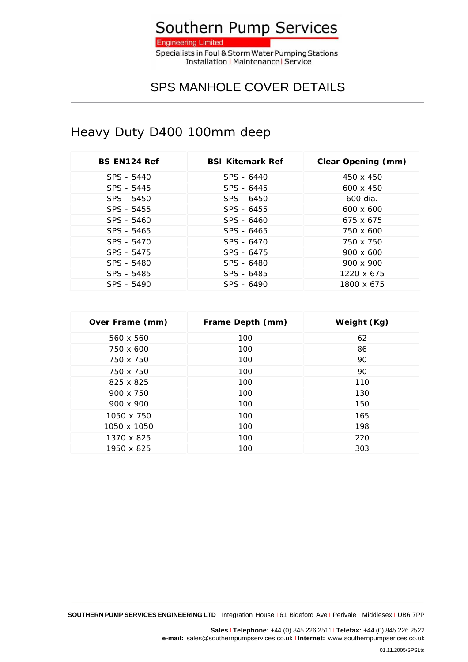

**Installation | Maintenance | Service** 

# SPS MANHOLE COVER DETAILS

# Heavy Duty D400 100mm deep

| BS EN124 Ref | <b>BSL Kitemark Ref</b> | Clear Opening (mm) |
|--------------|-------------------------|--------------------|
| SPS - 5440   | SPS - 6440              | 450 x 450          |
| SPS - 5445   | SPS - 6445              | $600 \times 450$   |
| SPS - 5450   | SPS - 6450              | 600 dia.           |
| SPS - 5455   | SPS - 6455              | $600 \times 600$   |
| SPS - 5460   | SPS - 6460              | 675 x 675          |
| SPS - 5465   | SPS - 6465              | 750 x 600          |
| SPS - 5470   | SPS - 6470              | 750 x 750          |
| SPS - 5475   | SPS - 6475              | $900 \times 600$   |
| SPS - 5480   | SPS - 6480              | 900 x 900          |
| SPS - 5485   | SPS - 6485              | 1220 x 675         |
| SPS - 5490   | SPS - 6490              | 1800 x 675         |

| Over Frame (mm) | Frame Depth (mm) | Weight (Kg) |
|-----------------|------------------|-------------|
| 560 x 560       | 100              | 62          |
| 750 x 600       | 100              | 86          |
| 750 x 750       | 100              | 90          |
| 750 x 750       | 100              | 90          |
| 825 x 825       | 100              | 110         |
| 900 x 750       | 100              | 130         |
| 900 x 900       | 100              | 150         |
| 1050 x 750      | 100              | 165         |
| 1050 x 1050     | 100              | 198         |
| 1370 x 825      | 100              | 220         |
| 1950 x 825      | 100              | 303         |

**SOUTHERN PUMP SERVICES ENGINEERING LTD** <sup>I</sup> Integration House <sup>I</sup> 61 Bideford Ave <sup>I</sup> Perivale <sup>I</sup> Middlesex <sup>I</sup> UB6 7PP

**Sales** <sup>I</sup> **Telephone:** +44 (0) 845 226 2511 <sup>I</sup> **Telefax:** +44 (0) 845 226 2522 **e-mail:** sales@southernpumpservices.co.uk <sup>I</sup> **Internet:** www.southernpumpserices.co.uk